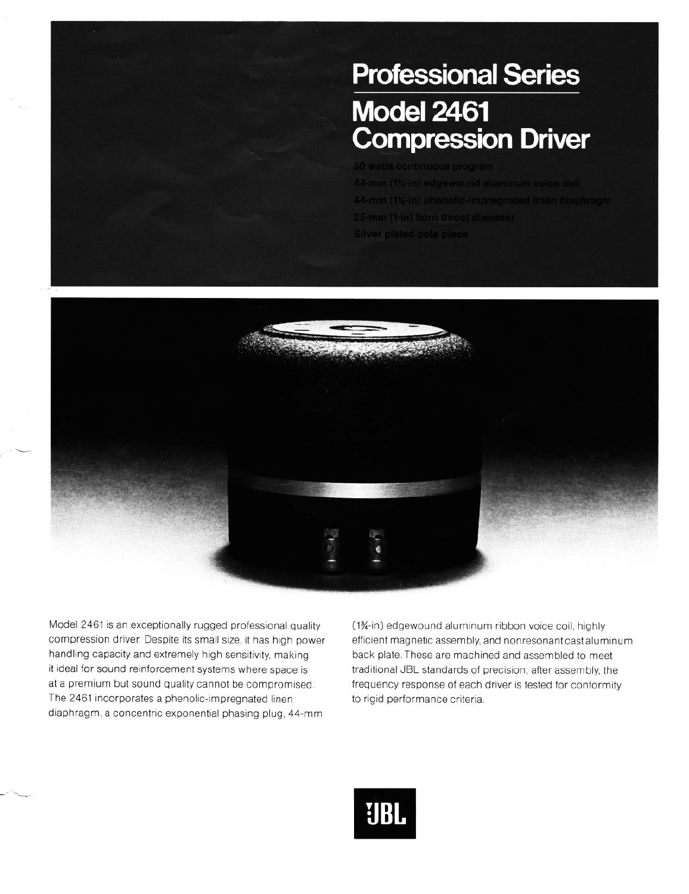## **Professional Series Model 2461 Compression Driver**



Model 2461 is an exceptionally rugged professional quality compression driver. Despite its small size, it has high power handling capacity and extremely high sensitivity, making it ideal for sound reinforcement systems where space is at a premium but sound quality cannot be compromised. The 2461 incorporates a phenolic-impregnated linen diaphragm, a concentric exponential phasing plug, 44.mm

(1%-in) edgewound aluminum ribbon voice coil, highly efficient magnetic assembly, and nonresonant cast aluminum back plate. These are machined and assembled to meet traditional JBL standards of precision; after assembly, the frequency response of each driver is tested for conformity to rigid performance criteria.